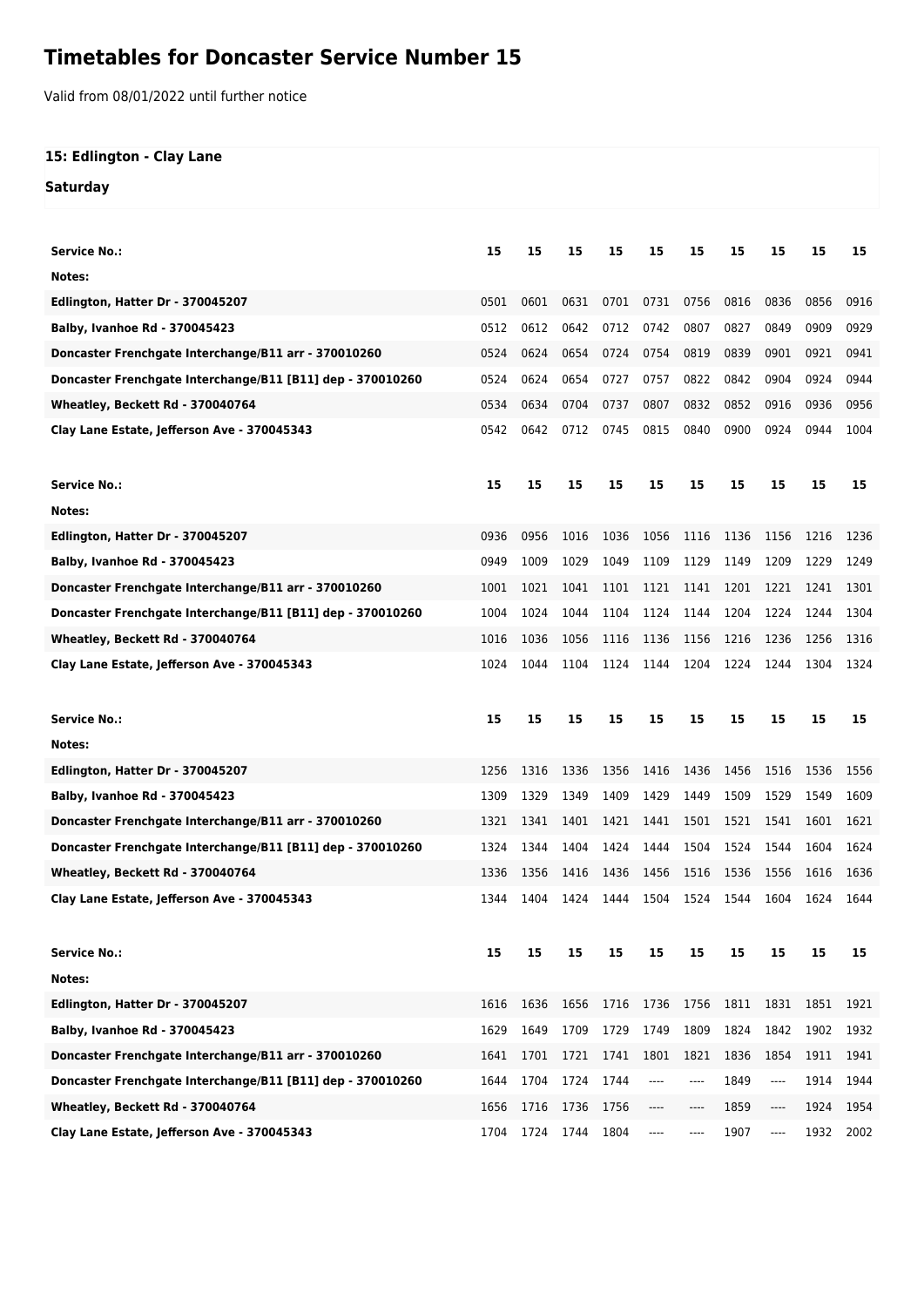## **Timetables for Doncaster Service Number 15**

Valid from 08/01/2022 until further notice

## **15: Edlington - Clay Lane**

## **Saturday**

| Service No.:                                               | 15   | 15   | 15   | 15   | 15   | 15   | 15   | 15   | 15   | 15   |
|------------------------------------------------------------|------|------|------|------|------|------|------|------|------|------|
| Notes:                                                     |      |      |      |      |      |      |      |      |      |      |
| Edlington, Hatter Dr - 370045207                           | 0501 | 0601 | 0631 | 0701 | 0731 | 0756 | 0816 | 0836 | 0856 | 0916 |
| Balby, Ivanhoe Rd - 370045423                              | 0512 | 0612 | 0642 | 0712 | 0742 | 0807 | 0827 | 0849 | 0909 | 0929 |
| Doncaster Frenchgate Interchange/B11 arr - 370010260       | 0524 | 0624 | 0654 | 0724 | 0754 | 0819 | 0839 | 0901 | 0921 | 0941 |
| Doncaster Frenchgate Interchange/B11 [B11] dep - 370010260 | 0524 | 0624 | 0654 | 0727 | 0757 | 0822 | 0842 | 0904 | 0924 | 0944 |
| Wheatley, Beckett Rd - 370040764                           | 0534 | 0634 | 0704 | 0737 | 0807 | 0832 | 0852 | 0916 | 0936 | 0956 |
| Clay Lane Estate, Jefferson Ave - 370045343                | 0542 | 0642 | 0712 | 0745 | 0815 | 0840 | 0900 | 0924 | 0944 | 1004 |
| <b>Service No.:</b>                                        | 15   | 15   | 15   | 15   | 15   | 15   | 15   | 15   | 15   | 15   |
| Notes:                                                     |      |      |      |      |      |      |      |      |      |      |
| Edlington, Hatter Dr - 370045207                           | 0936 | 0956 | 1016 | 1036 | 1056 | 1116 | 1136 | 1156 | 1216 | 1236 |
| <b>Balby, Ivanhoe Rd - 370045423</b>                       | 0949 | 1009 | 1029 | 1049 | 1109 | 1129 | 1149 | 1209 | 1229 | 1249 |
| Doncaster Frenchgate Interchange/B11 arr - 370010260       | 1001 | 1021 | 1041 | 1101 | 1121 | 1141 | 1201 | 1221 | 1241 | 1301 |
| Doncaster Frenchgate Interchange/B11 [B11] dep - 370010260 | 1004 | 1024 | 1044 | 1104 | 1124 | 1144 | 1204 | 1224 | 1244 | 1304 |
| Wheatley, Beckett Rd - 370040764                           | 1016 | 1036 | 1056 | 1116 | 1136 | 1156 | 1216 | 1236 | 1256 | 1316 |
| Clay Lane Estate, Jefferson Ave - 370045343                | 1024 | 1044 | 1104 | 1124 | 1144 | 1204 | 1224 | 1244 | 1304 | 1324 |
|                                                            |      |      |      |      |      |      |      |      |      |      |
| Service No.:                                               | 15   | 15   | 15   | 15   | 15   | 15   | 15   | 15   | 15   | 15   |
| Notes:                                                     |      |      |      |      |      |      |      |      |      |      |
| Edlington, Hatter Dr - 370045207                           | 1256 | 1316 | 1336 | 1356 | 1416 | 1436 | 1456 | 1516 | 1536 | 1556 |
| <b>Balby, Ivanhoe Rd - 370045423</b>                       | 1309 | 1329 | 1349 | 1409 | 1429 | 1449 | 1509 | 1529 | 1549 | 1609 |
| Doncaster Frenchgate Interchange/B11 arr - 370010260       | 1321 | 1341 | 1401 | 1421 | 1441 | 1501 | 1521 | 1541 | 1601 | 1621 |
| Doncaster Frenchgate Interchange/B11 [B11] dep - 370010260 | 1324 | 1344 | 1404 | 1424 | 1444 | 1504 | 1524 | 1544 | 1604 | 1624 |
| Wheatley, Beckett Rd - 370040764                           | 1336 | 1356 | 1416 | 1436 | 1456 | 1516 | 1536 | 1556 | 1616 | 1636 |
| Clay Lane Estate, Jefferson Ave - 370045343                | 1344 | 1404 | 1424 | 1444 | 1504 | 1524 | 1544 | 1604 | 1624 | 1644 |
| Service No.:                                               | 15   | 15   | 15   | 15   | 15   | 15   | 15   | 15   | 15   | 15   |
| Notes:                                                     |      |      |      |      |      |      |      |      |      |      |
| Edlington, Hatter Dr - 370045207                           | 1616 | 1636 | 1656 | 1716 | 1736 | 1756 | 1811 | 1831 | 1851 | 1921 |
| Balby, Ivanhoe Rd - 370045423                              | 1629 | 1649 | 1709 | 1729 | 1749 | 1809 | 1824 | 1842 | 1902 | 1932 |
| Doncaster Frenchgate Interchange/B11 arr - 370010260       | 1641 | 1701 | 1721 | 1741 | 1801 | 1821 | 1836 | 1854 | 1911 | 1941 |
| Doncaster Frenchgate Interchange/B11 [B11] dep - 370010260 | 1644 | 1704 | 1724 | 1744 | ---- | ---- | 1849 | ---- | 1914 | 1944 |
| Wheatley, Beckett Rd - 370040764                           | 1656 | 1716 | 1736 | 1756 | ---- | ---- | 1859 | ---- | 1924 | 1954 |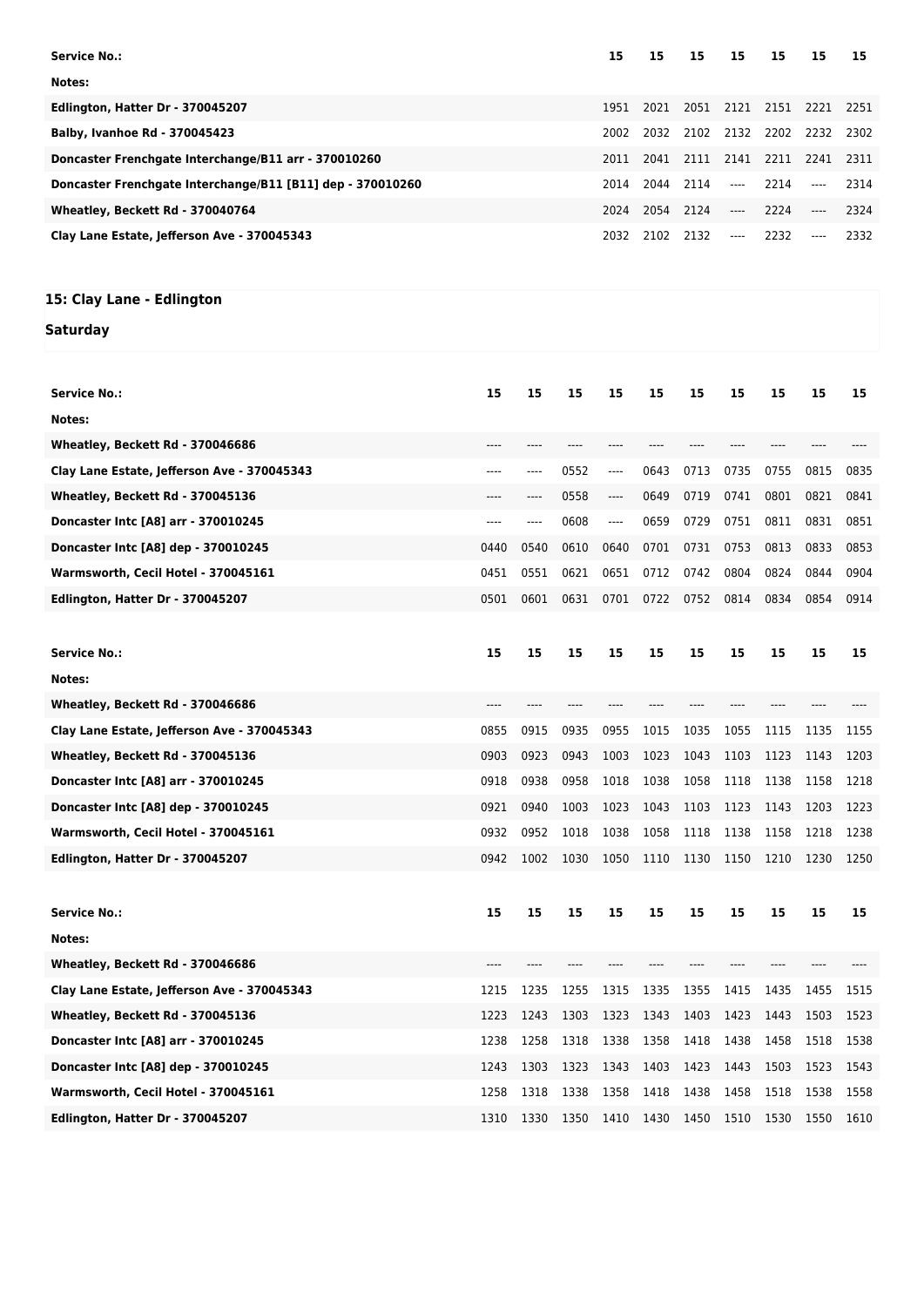| <b>Service No.:</b>                                        | 15   | 15   | 15        | 15    | 15   | 15                       | 15   |
|------------------------------------------------------------|------|------|-----------|-------|------|--------------------------|------|
| Notes:                                                     |      |      |           |       |      |                          |      |
| Edlington, Hatter Dr - 370045207                           | 1951 | 2021 |           |       |      | 2051 2121 2151 2221 2251 |      |
| <b>Balby, Ivanhoe Rd - 370045423</b>                       | 2002 | 2032 | 2102 2132 |       | 2202 | 2232                     | 2302 |
| Doncaster Frenchgate Interchange/B11 arr - 370010260       | 2011 | 2041 | 2111 2141 |       | 2211 | 2241                     | 2311 |
| Doncaster Frenchgate Interchange/B11 [B11] dep - 370010260 | 2014 |      | 2044 2114 | $---$ | 2214 | $---$                    | 2314 |
| Wheatley, Beckett Rd - 370040764                           | 2024 |      | 2054 2124 | $---$ | 2224 | $---$                    | 2324 |
| Clay Lane Estate, Jefferson Ave - 370045343                | 2032 | 2102 | 2132      | $---$ | 2232 | $---$                    | 2332 |
|                                                            |      |      |           |       |      |                          |      |
|                                                            |      |      |           |       |      |                          |      |
| 15: Clay Lane - Edlington                                  |      |      |           |       |      |                          |      |

## **Saturday**

| Service No.:                                | 15   | 15   | 15   | 15    | 15   | 15   | 15   | 15   | 15   | 15   |
|---------------------------------------------|------|------|------|-------|------|------|------|------|------|------|
| Notes:                                      |      |      |      |       |      |      |      |      |      |      |
| Wheatley, Beckett Rd - 370046686            |      |      |      |       |      |      |      |      |      |      |
| Clay Lane Estate, Jefferson Ave - 370045343 | ---- | ---- | 0552 | ----  | 0643 | 0713 | 0735 | 0755 | 0815 | 0835 |
| Wheatley, Beckett Rd - 370045136            |      |      | 0558 | ----  | 0649 | 0719 | 0741 | 0801 | 0821 | 0841 |
| Doncaster Intc [A8] arr - 370010245         | ---- | ---- | 0608 | $---$ | 0659 | 0729 | 0751 | 0811 | 0831 | 0851 |
| Doncaster Intc [A8] dep - 370010245         | 0440 | 0540 | 0610 | 0640  | 0701 | 0731 | 0753 | 0813 | 0833 | 0853 |
| Warmsworth, Cecil Hotel - 370045161         | 0451 | 0551 | 0621 | 0651  | 0712 | 0742 | 0804 | 0824 | 0844 | 0904 |
| Edlington, Hatter Dr - 370045207            | 0501 | 0601 | 0631 | 0701  | 0722 | 0752 | 0814 | 0834 | 0854 | 0914 |
|                                             |      |      |      |       |      |      |      |      |      |      |
| <b>Service No.:</b>                         | 15   | 15   | 15   | 15    | 15   | 15   | 15   | 15   | 15   | 15   |
| Notes:                                      |      |      |      |       |      |      |      |      |      |      |
| Wheatley, Beckett Rd - 370046686            |      |      |      |       |      |      |      |      |      |      |
| Clay Lane Estate, Jefferson Ave - 370045343 | 0855 | 0915 | 0935 | 0955  | 1015 | 1035 | 1055 | 1115 | 1135 | 1155 |
| Wheatley, Beckett Rd - 370045136            | 0903 | 0923 | 0943 | 1003  | 1023 | 1043 | 1103 | 1123 | 1143 | 1203 |
| Doncaster Intc [A8] arr - 370010245         | 0918 | 0938 | 0958 | 1018  | 1038 | 1058 | 1118 | 1138 | 1158 | 1218 |
| Doncaster Intc [A8] dep - 370010245         | 0921 | 0940 | 1003 | 1023  | 1043 | 1103 | 1123 | 1143 | 1203 | 1223 |
| Warmsworth, Cecil Hotel - 370045161         | 0932 | 0952 | 1018 | 1038  | 1058 | 1118 | 1138 | 1158 | 1218 | 1238 |
| Edlington, Hatter Dr - 370045207            | 0942 | 1002 | 1030 | 1050  | 1110 | 1130 | 1150 | 1210 | 1230 | 1250 |
|                                             |      |      |      |       |      |      |      |      |      |      |
| Service No.:                                | 15   | 15   | 15   | 15    | 15   | 15   | 15   | 15   | 15   | 15   |
| Notes:                                      |      |      |      |       |      |      |      |      |      |      |
| Wheatley, Beckett Rd - 370046686            |      |      |      |       |      |      |      |      |      |      |
| Clay Lane Estate, Jefferson Ave - 370045343 | 1215 | 1235 | 1255 | 1315  | 1335 | 1355 | 1415 | 1435 | 1455 | 1515 |
| Wheatley, Beckett Rd - 370045136            | 1223 | 1243 | 1303 | 1323  | 1343 | 1403 | 1423 | 1443 | 1503 | 1523 |
| Doncaster Intc [A8] arr - 370010245         | 1238 | 1258 | 1318 | 1338  | 1358 | 1418 | 1438 | 1458 | 1518 | 1538 |
| Doncaster Intc [A8] dep - 370010245         | 1243 | 1303 | 1323 | 1343  | 1403 | 1423 | 1443 | 1503 | 1523 | 1543 |
| Warmsworth, Cecil Hotel - 370045161         | 1258 | 1318 | 1338 | 1358  | 1418 | 1438 | 1458 | 1518 | 1538 | 1558 |
| Edlington, Hatter Dr - 370045207            | 1310 | 1330 | 1350 | 1410  | 1430 | 1450 | 1510 | 1530 | 1550 | 1610 |